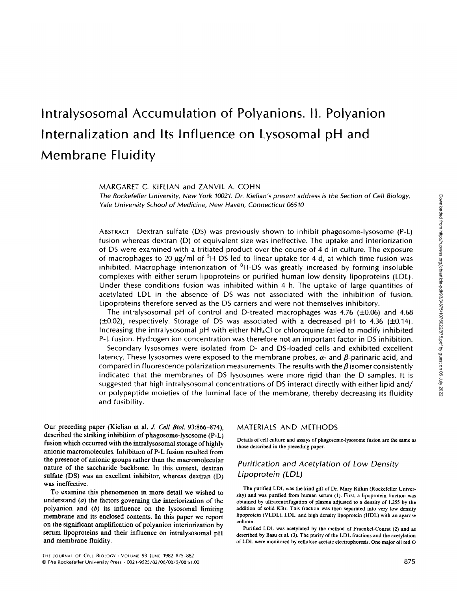# Intralysosomal Accumulation of Polyanions. II. Polyanion Internalization and Its Influence on Lysosomal pH and Membrane Fluidity

MARGARET C. KIELIAN and ZANVIL A. COHN

The Rockefeller University, New York 10021. Or. Kielian's present address is the Section of Cell Biology, Yale University School of Medicine, New Haven, Connecticut 06510

ABSTRACT Dextran sulfate (DS) was previously shown to inhibit phagosome-lysosome (P-L) fusion whereas dextran (D) of equivalent size was ineffective . The uptake and interiorization of DS were examined with a tritiated product over the course of 4 d in culture. The exposure of macrophages to 20  $\mu$ g/ml of <sup>3</sup>H-DS led to linear uptake for 4 d, at which time fusion was inhibited. Macrophage interiorization of  ${}^{3}$ H-DS was greatly increased by forming insoluble complexes with either serum lipoproteins or purified human low density lipoproteins (LDL) . Under these conditions fusion was inhibited within 4 h. The uptake of large quantities of acetylated LDL in the absence of DS was not associated with the inhibition of fusion. Lipoproteins therefore served as the DS carriers and were not themselves inhibitory .

The intralysosomal pH of control and D-treated macrophages was  $4.76$  ( $\pm 0.06$ ) and  $4.68$  $(\pm 0.02)$ , respectively. Storage of DS was associated with a decreased pH to 4.36 ( $\pm 0.14$ ). Increasing the intralysosomal  $pH$  with either  $NH_4Cl$  or chloroquine failed to modify inhibited P-L fusion. Hydrogen ion concentration was therefore not an important factor in DS inhibition.

Secondary lysosomes were isolated from D- and DS-loaded cells and exhibited excellent latency. These lysosomes were exposed to the membrane probes,  $\alpha$ - and  $\beta$ -parinaric acid, and compared in fluorescence polarization measurements. The results with the  $\beta$  isomer consistently indicated that the membranes of DS lysosomes were more rigid than the D samples. It is suggested that high intralysosomal concentrations of DS interact directly with either lipid and/ or polypeptide moieties of the luminal face of the membrane, thereby decreasing its fluidity and fusibility.

Our preceding paper (Kielian et al. J. Cell Biol. 93:866-874), described the striking inhibition of phagosome-lysosome (P-L) fusion which occurred with the intralysosomal storage of highly anionic macromolecules. Inhibition of P-L fusion resulted from the presence of anionic groups rather than the macromolecular nature of the saccharide backbone. In this context, dextran sulfate (DS) was an excellent inhibitor, whereas dextran (D) was ineffective.

To examine this phenomenon in more detail we wished to understand (a) the factors governing the interiorization of the polyanion and (b) its influence on the lysosomal limiting membrane and its enclosed contents. In this paper we report on the significant amplification of polyanion interiorization by serum lipoproteins and their influence on intralysosomal pH and membrane fluidity.

#### MATERIALS AND METHODS

Details of cell culture and assays of phagosome-lysosome fusion are the same as those described in the preceding paper.

## Purification and Acetylation of Low Density Lipoprotein (LDL)

The purified LDL was the kind gift of Dr. Mary Rifkin (Rockefeller University) and was purified from human serum (l). First, a lipoprotein fraction was obtained by ultracentrifugation of plasma adjusted to a density of <sup>1</sup> .255 by the addition of solid KBr. This fraction was then separated into very low density lipoprotein (VLDL), LDL, and high density lipoprotein (HDL) with an agarose column.

Purified LDL was acetylated by the method of Fraenkel-Conrat (2) and as described by Basu et al. (3). The purity of the LDL fractions and the acetylation of LDL were monitored by cellulose acetate electrophoresis. One major oil red O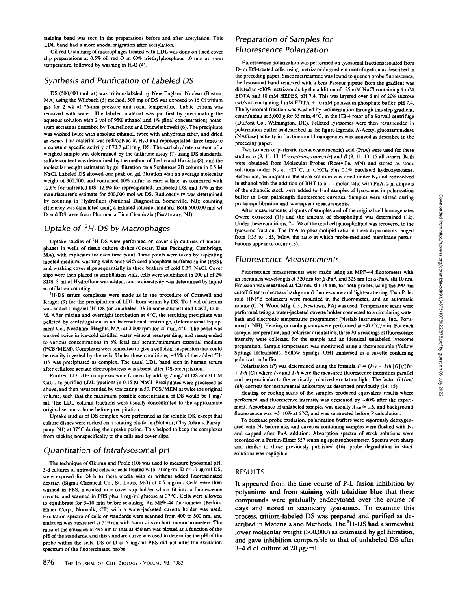Downloaded from http://rupress.org/jcb/article-pdf/93/3/875/1076022/875.pdf by guest on 06 July 2022 Downloaded from http://rupress.org/jcb/article-pdf/93/3/875/1076022/875.pdf by guest on 06 July 2022

staining band was seen in the preparations before and after acetylation. This LDL band had a more anodal migration after acetylation.

Oil red Ostaining of macrophages treated with LDL was done on fixed covet slip preparations at 0.5% oil red O in 60% triethylphosphate, <sup>10</sup> min at room temperature, followed by washing in  $H_2O(4)$ .

## Synthesis and Purification of Labeled DS

DS (500,000 mol wt) was tritium-labeled by New England Nuclear (Boston, MA) using the Wilzbach (5) method. 500 mg of DS was exposed to 15 Ci tritium gas for 2 wk at 76-mm pressure and room temperature. Labile tritium was removed with water. The labeled material was purified by precipitating the aqueous solution with 2 vol of 95% ethanol and I% (final concentration) potassium acetate as described by Tourtellotte and Dziewiatkowski (6). The precipitate was washed twice with absolute ethanol, twice with anhydrous ether, and dried in vacuo. This material was redissolved in  $H_2O$  and reprecipitated three times to a constant specific activity of 73.7  $\mu$ Ci/mg DS. The carbohydrate content of a weighed sample was determined by the anthrone assay (7) using DS standards, sulfate content was determined by the method of Terho and Hartiala (8), and the molecular weight estimated by gel filtration on <sup>a</sup> Sepharose 2B column in 0.5 M NaCl. Labeled DS showed one peak on gel filtration with an average molecular weight of 300,000, and contained 10% sulfur as ester sulfate, as compared with <sup>12</sup> .6% for untreated DS, 12.8% for reprecipitated, unlabeled DS, and 17% as the manufacturer's estimate for 500,000 mol wt DS. Radioactivity was determined by counting in Hydrofluor (National Diagnostics, Somerville, NJ); counting efficiency was calculated using a tritiated toluene standard . Both 500,000 mol wt D and DS were from Pharmacia Fine Chemicals (Piscataway, NJ)

## Uptake of <sup>3</sup>H-DS by Macrophages

Uptake studies of 'H-DS were performed on cover slip cultures of macrophages in wells of tissue culture dishes (Costar, Data Packaging, Cambridge, MA), with triplicates for each time point. Time points were taken by aspirating labeled medium, washing wells once with cold phosphate-buffered saline (PBS), and washing cover slips sequentially in three beakers of cold 0.3% NaCl Cover slips were then placed in scintillation vials, cells were solubilized in 200 $\mu$ l of 2% SDS, 3 ml of Hydrofluor was added, and radioactivity was determined by liquid scintillation counting.

<sup>3</sup>H-DS serum complexes were made as in the procedure of Cornwell and Kruger (9) for the precipitation of LDL from serum by DS. To <sup>l</sup> vol of serum was added 1 mg/ml <sup>3</sup>H-DS (or unlabeled DS in some studies) and CaCl<sub>2</sub> to 0.1 M. After mixing and overnight incubation at 4°C, the resulting precipitate was pelleted by centrifugation in an International centrifuge, (International Equipment Co., Needham, Heights, MA) at 2,000 rpm for 20 min, 4°C. The pellet was washed twice in ice-cold distilled water without resuspending, and resuspended to various concentrations in 5% fetal calf serum/minimum essential medium (FCS/MEM). Complexes were sonicated to give a colloidal suspension that could be readily ingested by the cells. Under these conditions,  $\sim$ 35% of the added  ${}^{3}$ H-DS was precipitated as complex. The usual LDL band seen in human serum after cellulose acetate electrophoresis was absent after DS-precipitation.

Purified LDL-DS complexes were formed by adding <sup>2</sup> mg/ml DS and 0.1 M CaCl<sub>2</sub> to purified LDL fractions in 0.15 M NaCl. Precipitates were processed as above, and then resuspended by sonicating in 5% FCS/MEM at twice the original volume, such that the maximum possible concentration of DS would be <sup>1</sup> mg/ ml. The LDL column fractions were usually concentrated to the approximate original serum volume before precipitation.

Uptake studies of DS complex were performed as for soluble DS, except that culture dishes were rocked on a rotating platform (Nutstor; Clay Adams, Parsippany, NJ) at 37°C during the uptake period. This helped to keep the complexes from sticking nonspecifically to the cells and cover slips .

#### Quantitation of Intralysosomal pH

The technique of Okuma and Poole (10) was used to measure lysosomal pH. 3-d cultures of untreated cells, or cells treated with 10 mg/ml D or 10  $\mu$ g/ml DS, were exposed for 24 h to these media with or without added fluorescinated dextran (Sigma Chemical Co., St. Louis, MO) at 0.5 mg/ml. Cells were then washed in PBS, mounted in a cover slip holder which fit into a fluorescence cuvette, and scanned in PBS plus <sup>I</sup> mg/ml glucose at 37°C. Cells were allowed to equilibrate for 5-10 min before scanning. An MPF-44 fluorometer (Perkin-Elmer Corp., Norwalk, CT) with a waterjacketed cuvette holder was used. Excitation spectra of cells or standards were scanned from 400 to 500 nm, and emission was measured at 519 nm with 5-nm slits on both monochrometers. The ratio of the emission at 495 nm to that at 450 nm was plotted as a function of the pH of the standards, and this standard curve was used to determine the pH of the probe within the cells. DS or D at 5 mg/ml PBS did not alter the excitation spectrum of the fluorescinated probe

## Preparation of Samples for Fluorescence Polarization

Fluorescence polarization was performed on lysosomal fractions isolated from D- or DS-treated cells, using metrizamide gradient centrifugation as described in the preceding paper. Since metrizamide was found to quench probe fluorescence, the lysosomal band removed with a bent Pasteur pipette from the gradient was diluted to <10% metrizamide by the addition of <sup>125</sup> mM NaCI containing <sup>1</sup> mM EDTA and <sup>10</sup> mM HEPES, pH 7.4. This was layered over <sup>6</sup> ml of 20% sucrose (wt/vol) containing 1 mM EDTA + 10 mM potassium phosphate buffer, pH 7.4. The lysosomal fraction was washed by sedimentation through this step gradient, centrifuging at 5,000 g for 35 min,  $4^{\circ}$ C, in the HB-4 rotor of a Sorvall centrifuge (DuPont Co., Wilmington, DE). Pelleted lysosomes were then resuspended in polarization buffer as described in the figure legends. N-Acetyl glucosaminidase (NAGase) activity in fractions and homogenates was assayed as described in the preceding paper.

Two isomers of parinaric (octadecatetraenoic) acid (PnA) were used for these studies,  $\alpha$  (9, 11, 13, 15-cis,-trans,-trans,-cis) and  $\beta$  (9, 11, 13, 15 all -trans). Both were obtained from Molecular Probes (Roseville, MN) and stored as stock solutions under  $N_2$  at  $-20^{\circ}$ C, in CHCl<sub>3</sub> plus 0.1% butylated hydroxytoluene. Before use, an aliquot of the stock solution was dried under  $N_2$  and redissolved in ethanol with the addition of BHT to a 1:1 molar ratio with PnA.  $2-\mu$ l aliquots of the ethanolic stock were added to 1-ml samples of lysosomes in polarization buffer in 1-cm pathlength fluorescence cuvettes . Samples were stirred during probe equilibration and subsequent measurements.

After measurements, aliquots of samples and of the original cell homogenates Owere extracted (11) and the amount of phospholipid was determined (12). Under these conditions, 7-15% of the total cell phospholipid was recovered in the lysosome fraction. The PnA to phospholipid ratio in these experiments ranged from 1:35 to 1:65, below the ratio at which probe-mediated membrane perturbations appear to occur (13).

#### Fluorescence Measurements

Fluorescence measurements were made using an MPF-44 fluorometer with an excitation wavelength of 320 nm for  $\beta$ -PnA and 325 nm for  $\alpha$ -PnA, slit 10 nm. Emission was measured at 420 nm, slit 18 nm, for both probes, using the 390-nm cutoff filter to decrease background fluorescence and light-scattering. Two Polaroid HNP'B polarizers were mounted in the fluorometer, and an automatic rotator (C. N. Wood Mfg. Co., Newtown, PA) was used. Temperature scans were performed using a water-jacketed cuvette holder connected to a circulating water bath and electronic temperature programmer (Neslab Instruments, Inc., Portsmouth, NH). Heating or cooling scans were performed at  $\leq 0.5^{\circ}C/min$ . For each sample, temperature, and polarizer orientation, three 30-s readings of fluorescence intensity were collected for the sample and an identical unlabeled lysosome preparation. Sample temperature was monitored using a thermocouple (Yellow Springs Instruments, Yellow Springs, OH) immersed in a cuvette containing polarization buffer.

Polarization (P) was determined using the formula  $P = (Iv - Ivh[G])/(Ivv)$  $+ Ivh$  [G]) where Ivv and Ivh were the measured fluorescence intensities parallel and perpendicular to the vertically polarized excitation light. The factor  $G(Inv/$ Ihh) corrects for instrumental anisotropy as described previously (14, 15).

Heating or cooling scans of the samples produced equivalent results where performed and fluorescence intensity was decreased by  $~40\%$  after the experiment. Absorbance of unlabeled samples was usually  $A_{320} \approx 0.6$ , and background fluorescence was  $-5-10\%$  at  $5^{\circ}$ C, and was subtracted before P calculation.

To decrease probe oxidation, polarization buffers were vigorously deoxygenated with  $N_2$  before use, and cuvettes containing samples were flushed with  $N_2$ and capped after PnA addition. Absorption spectra of stock solutions were recorded on a Perkin-Elmer 557 scanning spectrophotometer. Spectra were sharp and similar to those previously published (l6); probe degradation in stock solutions was negligible.

#### RESULTS

It appeared from the time course of P-L fusion inhibition by polyanions and from staining with toluidine blue that these compounds were gradually endocytosed over the course of days and stored in secondary lysosomes. To examine this process, tritium-labeled DS was prepared and purified as described in Materials and Methods. The <sup>3</sup>H-DS had a somewhat lower molecular weight (300,000) as estimated by gel filtration, and gave inhibition comparable to that of unlabeled DS after 3-4 d of culture at 20  $\mu$ g/ml.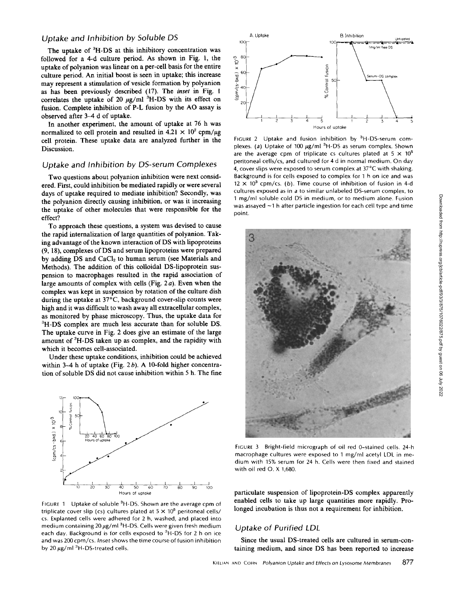## Uptake and Inhibition by Soluble DS

The uptake of <sup>3</sup>H-DS at this inhibitory concentration was followed for a 4-d culture period. As shown in Fig. 1, the uptake of polyanion was linear on a per-cell basis for the entire culture period. An initial boost is seen in uptake; this increase may represent a stimulation of vesicle formation by polyanion as has been previously described (17). The inset in Fig. 1 correlates the uptake of 20  $\mu$ g/ml <sup>3</sup>H-DS with its effect on fusion . Complete inhibition of P-L fusion by the AO assay is observed after 3-4 d of uptake .

In another experiment, the amount of uptake at 76 h was normalized to cell protein and resulted in 4.21  $\times$  10<sup>2</sup> cpm/ $\mu$ g cell protein. These uptake data are analyzed further in the Discussion.

## Uptake and Inhibition by DS-serum Complexes

Two questions about polyanion inhibition were next considered. First, could inhibition be mediated rapidly or were several days of uptake required to mediate inhibition? Secondly, was the polyanion directly causing inhibition, or was it increasing the uptake of other molecules that were responsible for the effect?

To approach these questions, a system was devised to cause the rapid internalization of large quantities of polyanion . Taking advantage of the known interaction of DS with lipoproteins (9, 18), complexes of DS and serum lipoproteins were prepared by adding DS and CaCl<sub>2</sub> to human serum (see Materials and Methods). The addition of this colloidal DS-lipoprotein suspension to macrophages resulted in the rapid association of large amounts of complex with cells (Fig.  $2a$ ). Even when the complex was kept in suspension by rotation of the culture dish during the uptake at 37°C, background cover-slip counts were high and it was difficult to wash away all extracellular complex, as monitored by phase microscopy. Thus, the uptake data for <sup>3</sup>H-DS complex are much less accurate than for soluble DS. The uptake curve in Fig. 2 does give an estimate of the large amount of <sup>3</sup>H-DS taken up as complex, and the rapidity with which it becomes cell-associated.

Under these uptake conditions, inhibition could be achieved within 3-4 h of uptake (Fig. 2b). A 10-fold higher concentration of soluble DS did not cause inhibition within 5 h. The fine



FIGURE 1 Uptake of soluble <sup>3</sup>H-DS. Shown are the average cpm of triplicate cover slip (cs) cultures plated at  $5 \times 10^5$  peritoneal cells/ cs . Explanted cells were adhered for <sup>2</sup> h, washed, and placed into medium containing 20  $\mu$ g/ml <sup>3</sup> H-DS. Cells were given fresh medium each day. Background is for cells exposed to  ${}^{3}$ H-DS for 2 h on ice and was 200 cpm/cs . Inset shows the time course of fusion inhibition by 20  $\mu$ g/ml <sup>3</sup> H-DS-treated cells.



FIGURE 2 Uptake and fusion inhibition by <sup>3</sup>H-DS-serum complexes. (a) Uptake of 100  $\mu$ g/ml  $3$  H-DS as serum complex. Shown are the average cpm of triplicate cs cultures plated at 5  $\times$  10<sup>5</sup> peritoneal cells/cs, and cultured for 4 d in normal medium . On day 4, cover slips were exposed to serum complex at 37°C with shaking. Background is for cells exposed to complex for <sup>1</sup> h on ice and was  $12 \times 10^3$  cpm/cs. (b). Time course of inhibition of fusion in 4-d cultures exposed as in a to similar unlabeled DS-serum complex, to <sup>1</sup> mg/ml soluble cold DS in medium, or to medium alone . Fusion was assayed  $-1$  h after particle ingestion for each cell type and time point.



FIGURE 3 Bright-field micrograph of oil red 0-stained cells. 24-h macrophage cultures were exposed to <sup>1</sup> mg/ml acetyl LDL in medium with 15% serum for 24 h. Cells were then fixed and stained with oil red O. <sup>X</sup> 1,680

particulate suspension of lipoprotein-DS complex apparently enabled cells to take up large quantities more rapidly. Prolonged incubation is thus not a requirement for inhibition.

#### Uptake of Purified LDL

Since the usual DS-treated cells are cultured in serum-containing medium, and since DS has been reported to increase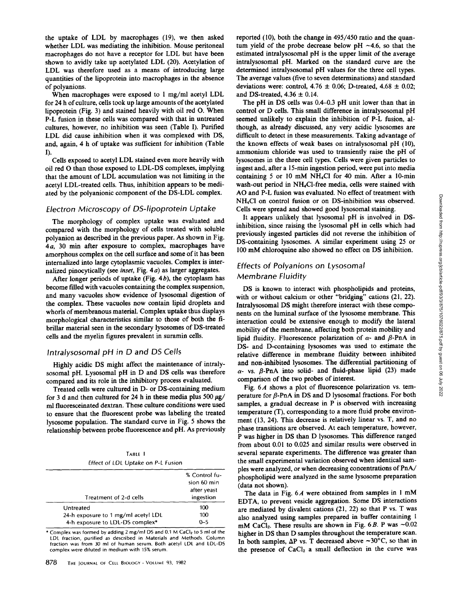the uptake of LDL by macrophages (19), we then asked whether LDL was mediating the inhibition. Mouse peritoneal macrophages do not have <sup>a</sup> receptor for LDL but have been shown to avidly take up acetylated LDL (20). Acetylation of LDL was therefore used as <sup>a</sup> means of introducing large quantities of the lipoprotein into macrophages in the absence of polyanions.

When macrophages were exposed to <sup>I</sup> mg/ml acetyl LDL for 24 h of culture, cells took up large amounts of the acetylated lipoprotein (Fig. 3) and stained heavily with oil red O. When P-L fusion in these cells was compared with that in untreated cultures, however, no inhibition was seen (Table I). Purified LDL did cause inhibition when it was complexed with DS, and, again, 4 h of uptake was sufficient for inhibition (Table 1) .

Cells exposed to acetyl LDL stained even more heavily with oil red O than those exposed to LDL-DS complexes, implying that the amount of LDL accumulation was not limiting in the acetyl LDL-treated cells. Thus, inhibition appears to be mediated by the polyanionic component of the DS-LDL complex.

#### Electron Microscopy of DS-lipoprotein Uptake

The morphology of complex uptake was evaluated and compared with the morphology of cells treated with soluble polyanion as described in the previous paper. As shown in Fig. 4a, 30 min after exposure to complex, macrophages have amorphous complex on the cell surface and some of it has been internalized into large cytoplasmic vacuoles . Complex is internalized pinocytically (see inset, Fig.  $4a$ ) as larger aggregates.

After longer periods of uptake (Fig.  $4b$ ), the cytoplasm has become filled with vacuoles containing the complex suspension, and many vacuoles show evidence of lysosomal digestion of the complex. These vacuoles now contain lipid droplets and whorls of membranous material . Complex uptake thus displays morphological characteristics similar to those of both the fibrillar material seen in the secondary lysosomes of DS-treated cells and the myelin figures prevalent in suramin cells .

#### Intralysosomal pH in D and DS Cells

Highly acidic DS might affect the maintenance of intralysosomal pH. Lysosomal pH in D and DS cells was therefore compared and its role in the inhibitory process evaluated.

Treated cells were cultured in D- or DS-containing medium for 3 d and then cultured for 24 h in these media plus 500  $\mu$ g/ ml fluoresceinated dextran. These culture conditions were used to ensure that the fluorescent probe was labeling the treated lysosome population. The standard curve in Fig. 5 shows the relationship between probe fluorescence and pH. As previously

TABLE <sup>I</sup> Effect of LDL Uptake on P-L Fusion

| Treatment of 2-d cells              | % Control fu-<br>sion 60 min<br>after yeast<br>ingestion |
|-------------------------------------|----------------------------------------------------------|
| Untreated                           | 100                                                      |
| 24-h exposure to 1 mg/ml acetyl LDL | 100                                                      |
| 4-h exposure to LDL-DS complex*     | $0 - 5$                                                  |

\* Complex was formed by adding 2 mg/ml DS and 0.1 M CaCl2 to 5 ml of the LDL fraction, purified as described in Materials and Methods. Column fraction was from <sup>30</sup> ml of human serum. Both acetyl LDL and LDL-DS complex were diluted in medium with 15% serum

reported (10), both the change in 495/450 ratio and the quantum yield of the probe decrease below pH  $\sim$ 4.6, so that the estimated intralysosomal pH is the upper limit of the average intralysosomal pH. Marked on the standard curve are the determined intralysosomal pH values for the three cell types. The average values (five to seven determinations) and standard deviations were: control,  $4.76 \pm 0.06$ ; D-treated,  $4.68 \pm 0.02$ ; and DS-treated,  $4.36 \pm 0.14$ .

The pH in DS cells was 0.4-0.3 pH unit lower than that in control or D cells. This small difference in intralysosomal pH seemed unlikely to explain the inhibition of P-L fusion, although, as already discussed, any very acidic lysosomes are difficult to detect in these measurements. Taking advantage of the known effects of weak bases on intralysosomal pH (10), ammonium chloride was used to transiently raise the pH of lysosomes in the three cell types. Cells were given particles to ingest and, after a 15-min ingestion period, were put into media containing 5 or 10 mM NH<sub>4</sub>Cl for 40 min. After a 10-min wash-out period in NH<sub>4</sub>Cl-free media, cells were stained with AO and P-L fusion was evaluated. No effect of treatment with NH4C1 on control fusion or on DS-inhibition was observed. Cells were spread and showed good lysosomal staining.

It appears unlikely that lysosomal pH is involved in DSinhibition, since raising the lysosomal pH in cells which had previously ingested particles did not reverse the inhibition of DS-containing lysosomes . A similar experiment using 25 or 100 mM chloroquine also showed no effect on DS inhibition.

# Effects of Polyanions on Lysosomal Membrane Fluidity

DS is known to interact with phospholipids and proteins, with or without calcium or other "bridging" cations (21, 22). Intralysosomal DS might therefore interact with these components on the luminal surface of the lysosome membrane. This interaction could be extensive enough to modify the lateral mobility of the membrane, affecting both protein mobility and lipid fluidity. Fluorescence polarization of  $\alpha$ - and  $\beta$ -PnA in DS- and D-containing lysosomes was used to estimate the relative difference in membrane fluidity between inhibited and non-inhibited lysosomes. The differential partitioning of  $\alpha$ - vs.  $\beta$ -PnA into solid- and fluid-phase lipid (23) made comparison of the two probes of interest.

Fig. 6A shows a plot of fluorescence polarization vs. temperature for  $\beta$ -PnA in DS and D lysosomal fractions. For both samples, a gradual decrease in P is observed with increasing temperature (T), corresponding to a more fluid probe environment (13, 24). This decrease is relatively linear vs. T, and no phase transitions are observed. At each temperature, however, P was higher in DS than D lysosomes. This difference ranged from about 0.01 to 0.025 and similar results were observed in several separate experiments. The difference was greater than the small experimental variation observed when identical samples were analyzed, or when decreasing concentrations of PnA/ phospholipid were analyzed in the same lysosome preparation (data not shown).

The data in Fig. 6A were obtained from samples in 1 mM EDTA, to prevent vesicle aggregation . Some DS interactions are mediated by divalent cations (21, 22) so that P vs. T was also analyzed using samples prepared in buffer containing <sup>1</sup> mM CaCl<sub>2</sub>. These results are shown in Fig. 6B. P was  $\sim 0.02$ higher in DS than D samples throughout the temperature scan . In both samples,  $\Delta P$  vs. T decreased above  $\sim$ 30°C, so that in the presence of  $CaCl<sub>2</sub>$  a small deflection in the curve was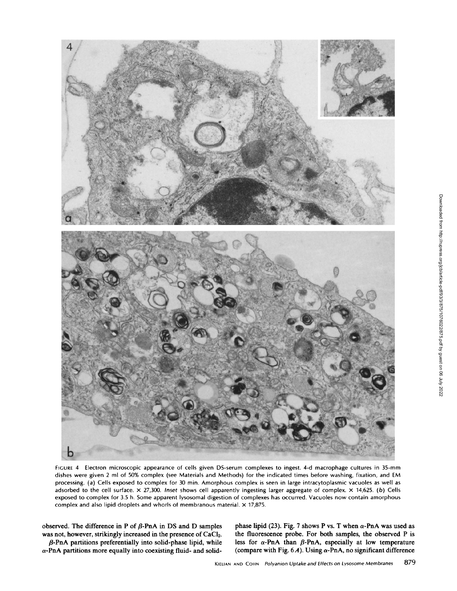

FIGURE 4 Electron microscopic appearance of cells given DS-serum complexes to ingest. 4-d macrophage cultures in 35-mm dishes were given <sup>2</sup> ml of 50% complex (see Materials and Methods) for the indicated times before washing, fixation, and EM processing . (a) Cells exposed to complex for 30 min. Amorphous complex is seen in large intracytoplasmic vacuoles as well as adsorbed to the cell surface. x 27,300 . Inset shows cell apparently ingesting larger aggregate of complex. x 14,625. (b) Cells exposed to complex for 3.5 h. Some apparent lysosomal digestion of complexes has occurred. Vacuoles now contain amorphous complex and also lipid droplets and whorls of membranous material.  $\times$  17,875.

observed. The difference in P of  $\beta$ -PnA in DS and D samples was not, however, strikingly increased in the presence of CaCl<sub>2</sub>. observed. The difference in P of  $\beta$ -PnA in DS and D samples<br>was not, however, strikingly increased in the presence of CaCl<sub>2</sub>.<br> $\beta$ -PnA partitions preferentially into solid-phase lipid, while

 $\alpha$ -PnA partitions more equally into coexisting fluid- and solid-

phase lipid (23). Fig. 7 shows P vs. T when  $\alpha$ -PnA was used as the fluorescence probe. For both samples, the observed P is less for  $\alpha$ -PnA than  $\beta$ -PnA, especially at low temperature (compare with Fig.  $6A$ ). Using  $\alpha$ -PnA, no significant difference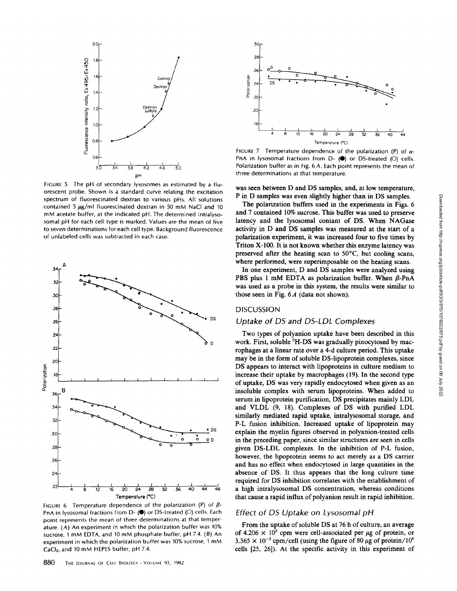![](_page_5_Figure_1.jpeg)

FIGURE <sup>5</sup> The pH of secondary lysosomes as estimated by a fluorescent probe. Shown is a standard curve relating the excitation spectrum of fluorescinated dextran to various pHs. All solutions contained 5  $\mu$ g/ml fluorescinated dextran in 50 mM NaCl and 10 mM acetate buffer, at the indicated pH. The determined intralysosomal pH for each cell type is marked. Values are the mean of five to seven determinations for each cell type . Background fluorescence of unlabeled cells was subtracted in each case

![](_page_5_Figure_3.jpeg)

FIGURE 6 Temperature dependence of the polarization (P) of  $\beta$ -PnA in lysosomal fractions from D- (.) or DS-treated (O) cells. Each point represents the mean of three determinations at that temperature. (A) An experiment in which the polarization buffer was  $10\%$ sucrose, <sup>1</sup> mM EDTA, and <sup>10</sup> mM phosphate buffer, pH 7.4. (B) An experiment in which the polarization buffer was 10% sucrose, <sup>1</sup> mM CaCl<sub>2</sub>, and 10 mM HEPES buffer, pH 7.4.

![](_page_5_Figure_6.jpeg)

FIGURE 7 Temperature dependence of the polarization (P) of  $\alpha$ -PnA in lysosomal fractions from D- $(\bullet)$  or DS-treated (O) cells. Polarization buffer as in Fig. 6 A. Each point represents the mean of three determinations at that temperature.

was seen between D and DS samples, and, at low temperature, P in D samples was even slightly higher than in DS samples.

The polarization buffers used in the experiments in Figs. 6 and 7 contained 10% sucrose . This buffer was used to preserve latency and the lysosomal contant of DS. When NAGase activity in D and DS samples was measured at the start of a polarization experiment, it was increased four to five times by Triton X-100. It is not known whether this enzyme latency was preserved after the heating scan to 50°C, but cooling scans, where performed, were superimposable on the heating scans.

In one experiment, D and DS samples were analyzed using PBS plus 1 mM EDTA as polarization buffer. When  $\beta$ -PnA was used as a probe in this system, the results were similar to those seen in Fig. 6A (data not shown).

#### **DISCUSSION**

#### Uptake of DS and DS-LDL Complexes

Two types of polyanion uptake have been described in this work. First, soluble <sup>3</sup>H-DS was gradually pinocytosed by macrophages at a linear rate over a 4-d culture period. This uptake may be in the form of soluble DS-lipoprotein complexes, since DS appears to interact with lipoproteins in culture medium to increase their uptake by macrophages (19) . In the second type of uptake, DS was very rapidly endocytosed when given as an insoluble complex with serum lipoproteins. When added to serum in lipoprotein purification, DS precipitates mainly LDL and VLDL (9, 18). Complexes of DS with purified LDL similarly mediated rapid uptake, intralysosomal storage, and P-L fusion inhibition. Increased uptake of lipoprotein may explain the myelin figures observed in polyanion-treated cells in the preceding paper, since similar structures are seen in cells given DS-LDL complexes . In the inhibition of P-L fusion, however, the lipoprotein seems to act merely as a DS carrier and has no effect when endocytosed in large quantities in the absence of DS. It thus appears that the long culture time required for DS inhibition correlates with the establishment of <sup>a</sup> high intralysosomal DS concentration, whereas conditions that cause a rapid influx of polyanion result in rapid inhibition.

#### Effect of DS Uptake on Lysosomal pH

From the uptake of soluble DS at 76 h of culture, an average of 4.206  $\times$  10<sup>2</sup> cpm were cell-associated per  $\mu$ g of protein, or  $3.365 \times 10^{-2}$  cpm/cell (using the figure of 80 µg of protein/10<sup>6</sup> cells [25, 26]). At the specific activity in this experiment of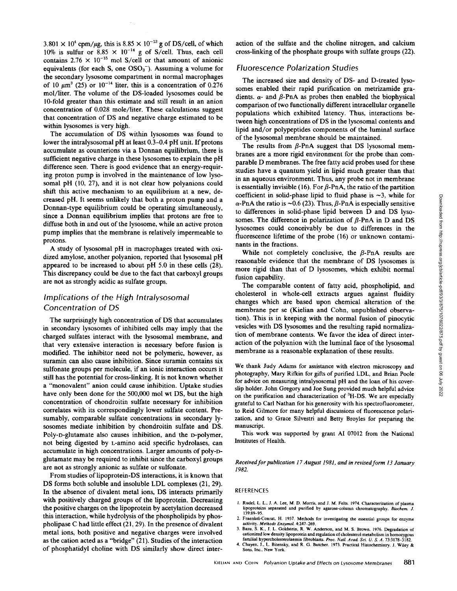$3.801 \times 10^4$  cpm/ $\mu$ g, this is  $8.85 \times 10^{-13}$  g of DS/cell, of which 10% is sulfur or 8.85  $\times$  10<sup>-14</sup> g of S/cell. Thus, each cell contains  $2.76 \times 10^{-15}$  mol S/cell or that amount of anionic equivalents (for each S, one OSO<sub>3</sub><sup>-</sup>). Assuming a volume for the secondary lysosome compartment in normal macrophages of 10  $\mu$ m<sup>3</sup> (25) or 10<sup>-14</sup> liter, this is a concentration of 0.276 mot/liter. The volume of the DS-loaded lysosomes could be 10-fold greater than this estimate and still result in an anion concentration of 0.028 mole/liter. These calculations suggest that concentration of DS and negative charge estimated to be within lysosomes is very high.

The accumulation of DS within lysosomes was found to lower the intralysosomal pH at least  $0.3-0.4$  pH unit. If protons accumulate as counterions via a Donnan equilibrium, there is sufficient negative charge in these lysosomes to explain the pH difference seen. There is good evidence that an energy-requiring proton pump is involved in the maintenance of low lysosomal pH (10, 27), and it is not clear how polyanions could shift this active mechanism to an equilibrium at a new, decreased pH. It seems unlikely that both a proton pump and a Donnan-type equilibrium could be operating simultaneously, since a Donnan equilibrium implies that protons are free to diffuse both in and out of the lysosome, while an active proton pump implies that the membrane is relatively impermeable to protons.

A study of lysosomal pH in macrophages treated with oxidized amylose, another polyanion, reported that lysosomal pH appeared to be increased to about pH 5.0 in these cells (28) . This discrepancy could be due to the fact that carboxyl groups are not as strongly acidic as sulfate groups.

## Implications of the High Intralysosomal Concentration of DS

The surprisingly high concentration of DS that accumulates in secondary lysosomes of inhibited cells may imply that the charged sulfates interact with the lysosomal membrane, and that very extensive interaction is necessary before fusion is modified. The inhibitor need not be polymeric, however, as suramin can also cause inhibition. Since suramin contains six sulfonate groups per molecule, if an ionic interaction occurs it still has the potential for cross-linking. It is not known whether a "monovalent" anion could cause inhibition. Uptake studies have only been done for the 500,000 mol wt DS, but the high concentration of chondroitin sulfate necessary for inhibition correlates with its correspondingly lower sulfate content. Presumably, comparable sulfate concentrations in secondary lysosomes mediate inhibition by chondroitin sulfate and DS. Poly-D-glutamate also causes inhibition, and the D-polymer, not being digested by L-amino acid specific hydrolases, can accumulate in high concentrations. Larger amounts of poly-Dglutamate may be required to inhibit since the carboxyl groups are not as strongly anionic as sulfate or sulfonate.

From studies of lipoprotein-DS interactions, it is known that DS forms both soluble and insoluble LDL complexes (21, 29). In the absence of divalent metal ions, DS interacts primarily with positively charged groups of the lipoprotein. Decreasing the positive charges on the lipoprotein by acetylation decreased this interaction, while hydrolysis of the phospholipids by phospholipase C had little effect (21, 29). In the presence of divalent metal ions, both positive and negative charges were involved as the cation acted as a "bridge" (21) . Studies of the interaction of phosphatidyl choline with DS similarly show direct inter-

action of the sulfate and the choline nitrogen, and calcium cross-linking of the phosphate groups with sulfate groups (22).

#### Fluorescence Polarization Studies

The increased size and density of DS- and D-treated lysosomes enabled their rapid purification on metrizamide gradients.  $\alpha$ - and  $\beta$ -PnA as probes then enabled the biophysical comparison of two functionally different intracellular organelle populations which exhibited latency. Thus, interactions between high concentrations of DS in the lysosomal contents and lipid and/or polypeptides components of the luminal surface of the lysosomal membrane should be maintained.

The results from  $\beta$ -PnA suggest that DS lysosomal membranes are a more rigid environment for the probe than comparable D membranes. The free fatty acid probes used for these studies have a quantum yield in lipid much greater than that in an aqueous environment. Thus, any probe not in membrane is essentially invisible (16). For  $\beta$ -PnA, the ratio of the partition coefficient in solid-phase lipid to fluid phase is  $\sim$ 3, while for  $\alpha$ -PnA the ratio is ~0.6 (23). Thus,  $\beta$ -PnA is especially sensitive to differences in solid-phase lipid between D and DS lysosomes. The difference in polarization of  $\beta$ -PnA in D and DS lysosomes could conceivably be due to differences in the fluorescence lifetime of the probe (16) or unknown contaminants in the fractions.

While not completely conclusive, the  $\beta$ -PnA results are reasonable evidence that the membrane of DS lysosomes is more rigid than that of D lysosomes, which exhibit normal fusion capability.

The comparable content of fatty acid, phospholipid, and cholesterol in whole-cell extracts argues against fluidity changes which are based upon chemical alteration of the membrane per se (Kielian and Cohn, unpublished observation). This is in keeping with the normal fusion of pinocytic vesicles with DS lysosomes and the resulting rapid normalization of membrane contents. We favor the idea of direct interaction of the polyanion with the luminal face of the lysosomal membrane as a reasonable explanation of these results.

We thank Judy Adams for assistance with electron microscopy and photography, Mary Rifkin for gifts of purified LDL, and Brian Poole for advice on measuring intralysosomal pH and the loan of his coverslip holder. John Gregory and Joe Sung provided much helpful advice on the purification and characterization of 3H-DS. We are especially grateful to Carl Nathan for his generosity with his spectrofluorometer, to Reid Gilmore for many helpful discussions of fluorescence polarization, and to Grace Silvestri and Betty Broyles for preparing the manuscript.

This work was supported by grant At 07012 from the National Institutes of Health.

Received for publication 17 August 1981, and in revised form 13 January 1982.

#### REFERENCES

- 1. Rudel, L. L., J. A. Lee, M. D. Morris, and J. M. Felts. 1974. Characterization of plasma lipoproteins separated and purified by agarose-column chromatography. Biochem. J<br>139:89-95.
- <sup>2</sup> . Fraenkel-Conrat, H . 1957. Methods for investigating the essential groups for enzyme
- activity. *Methods Enzymol. 4:247-269.*<br>3. Basu, S. K., J. L. Goldstein, R. W. Anderson, and M. S. Brown. 1976. Degradation of<br>cationized low density lipoprotein and regulation of cholesterol metabolism in homozygous cationized low density lipoprotein and regulation of cholesterol metabolism in homozygous<br>familial hypercholesterolaemia fibroblasts. Proc. Natl. Acad. Sci. U.S. A. 73:3178-3182.<br>4. Chayen, J., L. Bitensky, and R. G. Butch
-